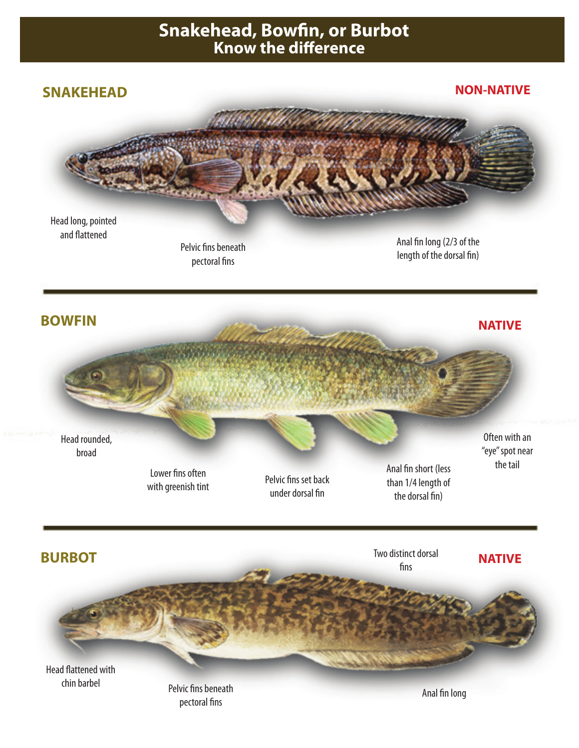## **Snakehead, Bowfin, or Burbot Know the difference**



victims beneath<br>pectoral fins Anal fin long